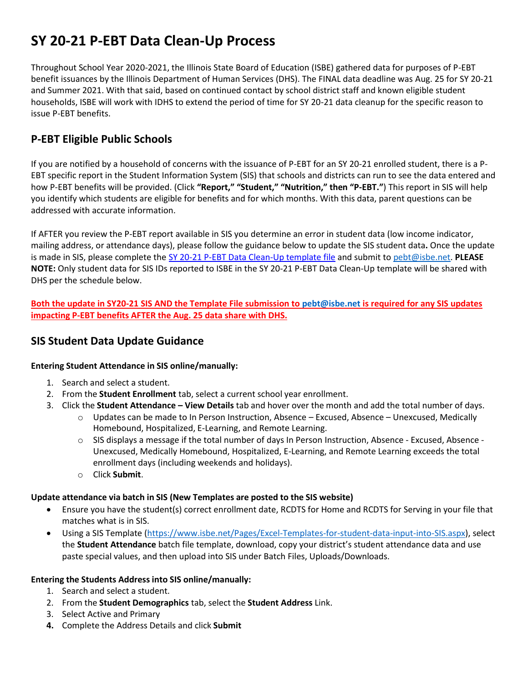# **SY 20-21 P-EBT Data Clean-Up Process**

Throughout School Year 2020-2021, the Illinois State Board of Education (ISBE) gathered data for purposes of P-EBT benefit issuances by the Illinois Department of Human Services (DHS). The FINAL data deadline was Aug. 25 for SY 20-21 and Summer 2021. With that said, based on continued contact by school district staff and known eligible student households, ISBE will work with IDHS to extend the period of time for SY 20-21 data cleanup for the specific reason to issue P-EBT benefits.

## **P-EBT Eligible Public Schools**

If you are notified by a household of concerns with the issuance of P-EBT for an SY 20-21 enrolled student, there is a P-EBT specific report in the Student Information System (SIS) that schools and districts can run to see the data entered and how P-EBT benefits will be provided. (Click **"Report," "Student," "Nutrition," then "P-EBT."**) This report in SIS will help you identify which students are eligible for benefits and for which months. With this data, parent questions can be addressed with accurate information.

If AFTER you review the P-EBT report available in SIS you determine an error in student data (low income indicator, mailing address, or attendance days), please follow the guidance below to update the SIS student data**.** Once the update is made in SIS, please complete th[e SY 20-21 P-EBT Data Clean-Up template file](https://www.isbe.net/Documents/SY20-21-PEBT-DATA-CLEAN-UP.csv) and submit to [pebt@isbe.net.](mailto:pebt@isbe.net) **PLEASE NOTE:** Only student data for SIS IDs reported to ISBE in the SY 20-21 P-EBT Data Clean-Up template will be shared with DHS per the schedule below.

**Both the update in SY20-21 SIS AND the Template File submission to [pebt@isbe.net](mailto:pebt@isbe.net) is required for any SIS updates impacting P-EBT benefits AFTER the Aug. 25 data share with DHS.**

## **SIS Student Data Update Guidance**

#### **Entering Student Attendance in SIS online/manually:**

- 1. Search and select a student.
- 2. From the **Student Enrollment** tab, select a current school year enrollment.
- 3. Click the **Student Attendance – View Details** tab and hover over the month and add the total number of days.
	- $\circ$  Updates can be made to In Person Instruction, Absence Excused, Absence Unexcused, Medically Homebound, Hospitalized, E-Learning, and Remote Learning.
	- o SIS displays a message if the total number of days In Person Instruction, Absence Excused, Absence Unexcused, Medically Homebound, Hospitalized, E-Learning, and Remote Learning exceeds the total enrollment days (including weekends and holidays).
	- o Click **Submit**.

#### **Update attendance via batch in SIS (New Templates are posted to the SIS website)**

- Ensure you have the student(s) correct enrollment date, RCDTS for Home and RCDTS for Serving in your file that matches what is in SIS.
- Using a SIS Template [\(https://www.isbe.net/Pages/Excel-Templates-for-student-data-input-into-SIS.aspx\)](https://www.isbe.net/Pages/Excel-Templates-for-student-data-input-into-SIS.aspx), select the **Student Attendance** batch file template, download, copy your district's student attendance data and use paste special values, and then upload into SIS under Batch Files, Uploads/Downloads.

#### **Entering the Students Address into SIS online/manually:**

- 1. Search and select a student.
- 2. From the **Student Demographics** tab, select the **Student Address** Link.
- 3. Select Active and Primary
- **4.** Complete the Address Details and click **Submit**